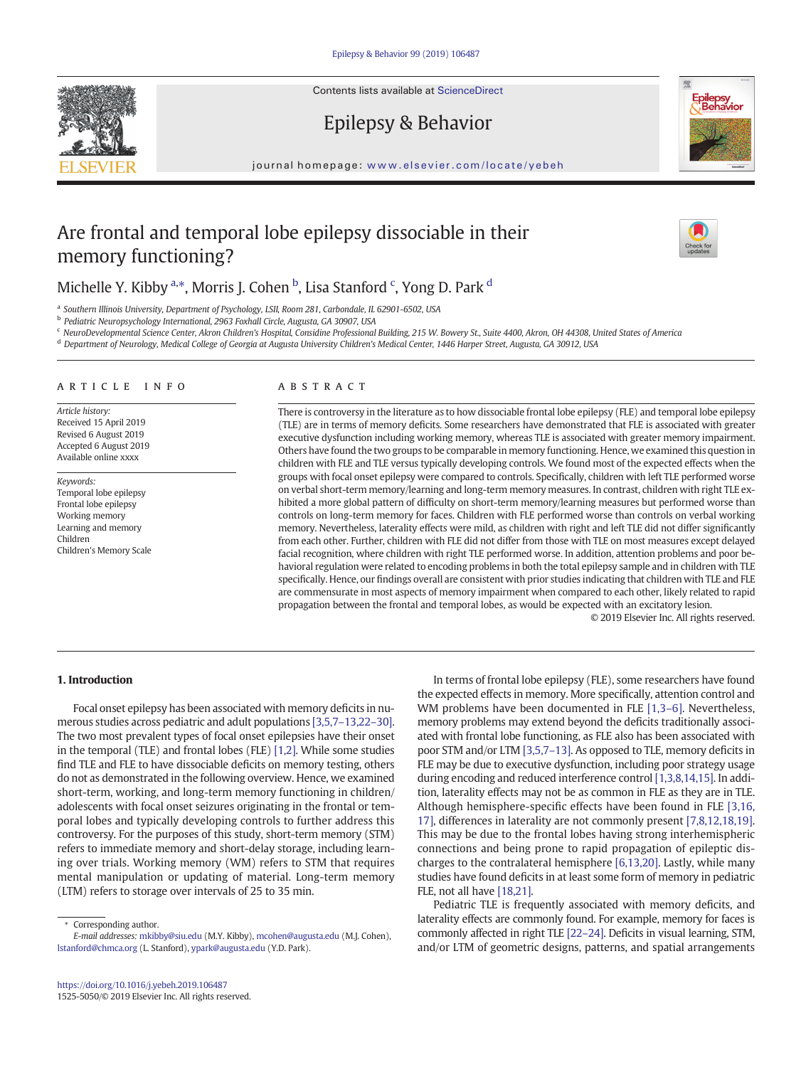Contents lists available at ScienceDirect

# Epilepsy & Behavior

journal homepage: <www.elsevier.com/locate/yebeh>

## Are frontal and temporal lobe epilepsy dissociable in their memory functioning?

### Michelle Y. Kibby <sup>a,\*</sup>, Morris J. Cohen <sup>b</sup>, Lisa Stanford <sup>c</sup>, Yong D. Park <sup>d</sup>

<sup>a</sup> Southern Illinois University, Department of Psychology, LSII, Room 281, Carbondale, IL 62901-6502, USA

<sup>b</sup> Pediatric Neuropsychology International, 2963 Foxhall Circle, Augusta, GA 30907, USA

<sup>c</sup> NeuroDevelopmental Science Center, Akron Children's Hospital, Considine Professional Building, 215 W. Bowery St., Suite 4400, Akron, OH 44308, United States of America

<sup>d</sup> Department of Neurology, Medical College of Georgia at Augusta University Children's Medical Center, 1446 Harper Street, Augusta, GA 30912, USA

#### article info abstract

Article history: Received 15 April 2019 Revised 6 August 2019 Accepted 6 August 2019 Available online xxxx

Keywords: Temporal lobe epilepsy Frontal lobe epilepsy Working memory Learning and memory Children Children's Memory Scale

There is controversy in the literature as to how dissociable frontal lobe epilepsy (FLE) and temporal lobe epilepsy (TLE) are in terms of memory deficits. Some researchers have demonstrated that FLE is associated with greater executive dysfunction including working memory, whereas TLE is associated with greater memory impairment. Others have found the two groups to be comparable in memory functioning. Hence, we examined this question in children with FLE and TLE versus typically developing controls. We found most of the expected effects when the groups with focal onset epilepsy were compared to controls. Specifically, children with left TLE performed worse on verbal short-term memory/learning and long-term memory measures. In contrast, children with right TLE exhibited a more global pattern of difficulty on short-term memory/learning measures but performed worse than controls on long-term memory for faces. Children with FLE performed worse than controls on verbal working memory. Nevertheless, laterality effects were mild, as children with right and left TLE did not differ significantly from each other. Further, children with FLE did not differ from those with TLE on most measures except delayed facial recognition, where children with right TLE performed worse. In addition, attention problems and poor behavioral regulation were related to encoding problems in both the total epilepsy sample and in children with TLE specifically. Hence, our findings overall are consistent with prior studies indicating that children with TLE and FLE are commensurate in most aspects of memory impairment when compared to each other, likely related to rapid propagation between the frontal and temporal lobes, as would be expected with an excitatory lesion.

© 2019 Elsevier Inc. All rights reserved.

### 1. Introduction

Focal onset epilepsy has been associated with memory deficits in numerous studies across pediatric and adult populations [3,5,7–[13,22](#page-6-0)–30]. The two most prevalent types of focal onset epilepsies have their onset in the temporal (TLE) and frontal lobes (FLE) [\[1,2\].](#page-6-0) While some studies find TLE and FLE to have dissociable deficits on memory testing, others do not as demonstrated in the following overview. Hence, we examined short-term, working, and long-term memory functioning in children/ adolescents with focal onset seizures originating in the frontal or temporal lobes and typically developing controls to further address this controversy. For the purposes of this study, short-term memory (STM) refers to immediate memory and short-delay storage, including learning over trials. Working memory (WM) refers to STM that requires mental manipulation or updating of material. Long-term memory (LTM) refers to storage over intervals of 25 to 35 min.

Corresponding author.

E-mail addresses: [mkibby@siu.edu](mailto:mkibby@siu.edu) (M.Y. Kibby), [mcohen@augusta.edu](mailto:mcohen@augusta.edu) (M.J. Cohen), [lstanford@chmca.org](mailto:lstanford@chmca.org) (L. Stanford), [ypark@augusta.edu](mailto:ypark@augusta.edu) (Y.D. Park).

the expected effects in memory. More specifically, attention control and WM problems have been documented in FLE [\[1,3](#page-6-0)-6]. Nevertheless, memory problems may extend beyond the deficits traditionally associated with frontal lobe functioning, as FLE also has been associated with poor STM and/or LTM [\[3,5,7](#page-6-0)–13]. As opposed to TLE, memory deficits in FLE may be due to executive dysfunction, including poor strategy usage during encoding and reduced interference control [\[1,3,8,14,15\].](#page-6-0) In addition, laterality effects may not be as common in FLE as they are in TLE. Although hemisphere-specific effects have been found in FLE [\[3,16,](#page-6-0) [17\]](#page-6-0), differences in laterality are not commonly present [\[7,8,12,18,19\].](#page-6-0) This may be due to the frontal lobes having strong interhemispheric connections and being prone to rapid propagation of epileptic discharges to the contralateral hemisphere [\[6,13,20\].](#page-6-0) Lastly, while many studies have found deficits in at least some form of memory in pediatric FLE, not all have [\[18,21\].](#page-6-0)

In terms of frontal lobe epilepsy (FLE), some researchers have found

Pediatric TLE is frequently associated with memory deficits, and laterality effects are commonly found. For example, memory for faces is commonly affected in right TLE [22–[24\].](#page-6-0) Deficits in visual learning, STM, and/or LTM of geometric designs, patterns, and spatial arrangements





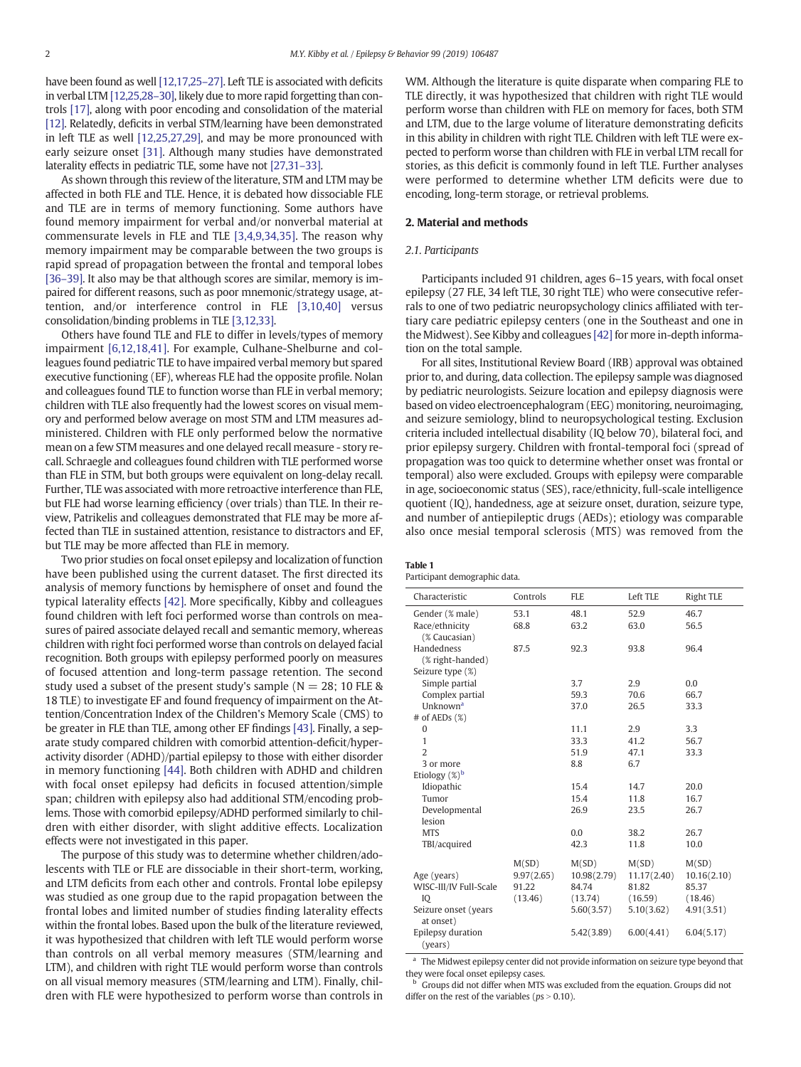<span id="page-1-0"></span>have been found as well [\[12,17,25](#page-6-0)-27]. Left TLE is associated with deficits in verbal LTM [\[12,25,28](#page-6-0)–30], likely due to more rapid forgetting than controls [\[17\],](#page-6-0) along with poor encoding and consolidation of the material [\[12\].](#page-6-0) Relatedly, deficits in verbal STM/learning have been demonstrated in left TLE as well [\[12,25,27,29\]](#page-6-0), and may be more pronounced with early seizure onset [\[31\].](#page-6-0) Although many studies have demonstrated laterality effects in pediatric TLE, some have not [\[27,31](#page-6-0)–33].

As shown through this review of the literature, STM and LTM may be affected in both FLE and TLE. Hence, it is debated how dissociable FLE and TLE are in terms of memory functioning. Some authors have found memory impairment for verbal and/or nonverbal material at commensurate levels in FLE and TLE [\[3,4,9,34,35\].](#page-6-0) The reason why memory impairment may be comparable between the two groups is rapid spread of propagation between the frontal and temporal lobes [\[36](#page-6-0)–39]. It also may be that although scores are similar, memory is impaired for different reasons, such as poor mnemonic/strategy usage, attention, and/or interference control in FLE [\[3,10,40\]](#page-6-0) versus consolidation/binding problems in TLE [\[3,12,33\].](#page-6-0)

Others have found TLE and FLE to differ in levels/types of memory impairment [\[6,12,18,41\]](#page-6-0). For example, Culhane-Shelburne and colleagues found pediatric TLE to have impaired verbal memory but spared executive functioning (EF), whereas FLE had the opposite profile. Nolan and colleagues found TLE to function worse than FLE in verbal memory; children with TLE also frequently had the lowest scores on visual memory and performed below average on most STM and LTM measures administered. Children with FLE only performed below the normative mean on a few STM measures and one delayed recall measure - story recall. Schraegle and colleagues found children with TLE performed worse than FLE in STM, but both groups were equivalent on long-delay recall. Further, TLE was associated with more retroactive interference than FLE, but FLE had worse learning efficiency (over trials) than TLE. In their review, Patrikelis and colleagues demonstrated that FLE may be more affected than TLE in sustained attention, resistance to distractors and EF, but TLE may be more affected than FLE in memory.

Two prior studies on focal onset epilepsy and localization of function have been published using the current dataset. The first directed its analysis of memory functions by hemisphere of onset and found the typical laterality effects [\[42\].](#page-6-0) More specifically, Kibby and colleagues found children with left foci performed worse than controls on measures of paired associate delayed recall and semantic memory, whereas children with right foci performed worse than controls on delayed facial recognition. Both groups with epilepsy performed poorly on measures of focused attention and long-term passage retention. The second study used a subset of the present study's sample ( $N = 28$ ; 10 FLE & 18 TLE) to investigate EF and found frequency of impairment on the Attention/Concentration Index of the Children's Memory Scale (CMS) to be greater in FLE than TLE, among other EF findings [\[43\]](#page-6-0). Finally, a separate study compared children with comorbid attention-deficit/hyperactivity disorder (ADHD)/partial epilepsy to those with either disorder in memory functioning [\[44\].](#page-6-0) Both children with ADHD and children with focal onset epilepsy had deficits in focused attention/simple span; children with epilepsy also had additional STM/encoding problems. Those with comorbid epilepsy/ADHD performed similarly to children with either disorder, with slight additive effects. Localization effects were not investigated in this paper.

The purpose of this study was to determine whether children/adolescents with TLE or FLE are dissociable in their short-term, working, and LTM deficits from each other and controls. Frontal lobe epilepsy was studied as one group due to the rapid propagation between the frontal lobes and limited number of studies finding laterality effects within the frontal lobes. Based upon the bulk of the literature reviewed, it was hypothesized that children with left TLE would perform worse than controls on all verbal memory measures (STM/learning and LTM), and children with right TLE would perform worse than controls on all visual memory measures (STM/learning and LTM). Finally, children with FLE were hypothesized to perform worse than controls in WM. Although the literature is quite disparate when comparing FLE to TLE directly, it was hypothesized that children with right TLE would perform worse than children with FLE on memory for faces, both STM and LTM, due to the large volume of literature demonstrating deficits in this ability in children with right TLE. Children with left TLE were expected to perform worse than children with FLE in verbal LTM recall for stories, as this deficit is commonly found in left TLE. Further analyses were performed to determine whether LTM deficits were due to encoding, long-term storage, or retrieval problems.

#### 2. Material and methods

#### 2.1. Participants

Participants included 91 children, ages 6–15 years, with focal onset epilepsy (27 FLE, 34 left TLE, 30 right TLE) who were consecutive referrals to one of two pediatric neuropsychology clinics affiliated with tertiary care pediatric epilepsy centers (one in the Southeast and one in the Midwest). See Kibby and colleagues [\[42\]](#page-6-0) for more in-depth information on the total sample.

For all sites, Institutional Review Board (IRB) approval was obtained prior to, and during, data collection. The epilepsy sample was diagnosed by pediatric neurologists. Seizure location and epilepsy diagnosis were based on video electroencephalogram (EEG) monitoring, neuroimaging, and seizure semiology, blind to neuropsychological testing. Exclusion criteria included intellectual disability (IQ below 70), bilateral foci, and prior epilepsy surgery. Children with frontal-temporal foci (spread of propagation was too quick to determine whether onset was frontal or temporal) also were excluded. Groups with epilepsy were comparable in age, socioeconomic status (SES), race/ethnicity, full-scale intelligence quotient (IQ), handedness, age at seizure onset, duration, seizure type, and number of antiepileptic drugs (AEDs); etiology was comparable also once mesial temporal sclerosis (MTS) was removed from the

| <b>Table 1</b>               |  |
|------------------------------|--|
| Participant demographic data |  |

| Characteristic                    | Controls   | <b>FLE</b>  | Left TLE    | <b>Right TLE</b> |
|-----------------------------------|------------|-------------|-------------|------------------|
| Gender (% male)                   | 53.1       | 48.1        | 52.9        | 46.7             |
| Race/ethnicity                    | 68.8       | 63.2        | 63.0        | 56.5             |
| (% Caucasian)                     |            |             |             |                  |
| Handedness<br>(% right-handed)    | 87.5       | 92.3        | 93.8        | 96.4             |
| Seizure type (%)                  |            |             |             |                  |
| Simple partial                    |            | 3.7         | 2.9         | 0.0              |
| Complex partial                   |            | 59.3        | 70.6        | 66.7             |
| Unknown <sup>a</sup>              |            | 37.0        | 26.5        | 33.3             |
| $#$ of AEDs $(\%)$                |            |             |             |                  |
| $\mathbf{0}$                      |            | 11.1        | 2.9         | 3.3              |
| $\mathbf{1}$                      |            | 33.3        | 41.2        | 56.7             |
| $\overline{2}$                    |            | 51.9        | 47.1        | 33.3             |
| 3 or more                         |            | 8.8         | 6.7         |                  |
| Etiology (%) <sup>b</sup>         |            |             |             |                  |
| Idiopathic                        |            | 15.4        | 14.7        | 20.0             |
| Tumor                             |            | 15.4        | 11.8        | 16.7             |
| Developmental                     |            | 26.9        | 23.5        | 26.7             |
| lesion                            |            |             |             |                  |
| <b>MTS</b>                        |            | 0.0         | 38.2        | 26.7             |
| TBI/acquired                      |            | 42.3        | 11.8        | 10.0             |
|                                   | M(SD)      | M(SD)       | M(SD)       | M(SD)            |
| Age (years)                       | 9.97(2.65) | 10.98(2.79) | 11.17(2.40) | 10.16(2.10)      |
| WISC-III/IV Full-Scale            | 91.22      | 84.74       | 81.82       | 85.37            |
| IQ                                | (13.46)    | (13.74)     | (16.59)     | (18.46)          |
| Seizure onset (years<br>at onset) |            | 5.60(3.57)  | 5.10(3.62)  | 4.91(3.51)       |
| Epilepsy duration<br>(years)      |            | 5.42(3.89)  | 6.00(4.41)  | 6.04(5.17)       |

The Midwest epilepsy center did not provide information on seizure type beyond that they were focal onset epilepsy cases.

<sup>b</sup> Groups did not differ when MTS was excluded from the equation. Groups did not differ on the rest of the variables ( $ps > 0.10$ ).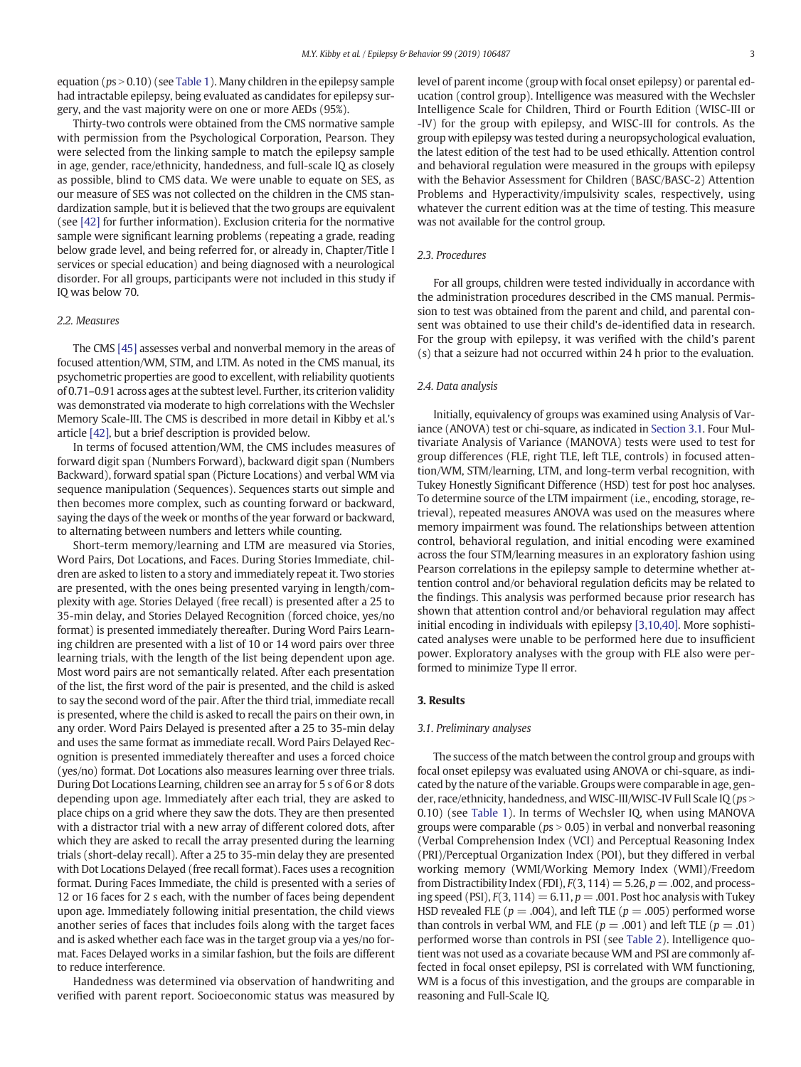equation ( $ps > 0.10$ ) (see [Table 1\)](#page-1-0). Many children in the epilepsy sample had intractable epilepsy, being evaluated as candidates for epilepsy surgery, and the vast majority were on one or more AEDs (95%).

Thirty-two controls were obtained from the CMS normative sample with permission from the Psychological Corporation, Pearson. They were selected from the linking sample to match the epilepsy sample in age, gender, race/ethnicity, handedness, and full-scale IQ as closely as possible, blind to CMS data. We were unable to equate on SES, as our measure of SES was not collected on the children in the CMS standardization sample, but it is believed that the two groups are equivalent (see [\[42\]](#page-6-0) for further information). Exclusion criteria for the normative sample were significant learning problems (repeating a grade, reading below grade level, and being referred for, or already in, Chapter/Title I services or special education) and being diagnosed with a neurological disorder. For all groups, participants were not included in this study if IQ was below 70.

#### 2.2. Measures

The CMS [\[45\]](#page-6-0) assesses verbal and nonverbal memory in the areas of focused attention/WM, STM, and LTM. As noted in the CMS manual, its psychometric properties are good to excellent, with reliability quotients of 0.71–0.91 across ages at the subtest level. Further, its criterion validity was demonstrated via moderate to high correlations with the Wechsler Memory Scale-III. The CMS is described in more detail in Kibby et al.'s article [\[42\]](#page-6-0), but a brief description is provided below.

In terms of focused attention/WM, the CMS includes measures of forward digit span (Numbers Forward), backward digit span (Numbers Backward), forward spatial span (Picture Locations) and verbal WM via sequence manipulation (Sequences). Sequences starts out simple and then becomes more complex, such as counting forward or backward, saying the days of the week or months of the year forward or backward, to alternating between numbers and letters while counting.

Short-term memory/learning and LTM are measured via Stories, Word Pairs, Dot Locations, and Faces. During Stories Immediate, children are asked to listen to a story and immediately repeat it. Two stories are presented, with the ones being presented varying in length/complexity with age. Stories Delayed (free recall) is presented after a 25 to 35-min delay, and Stories Delayed Recognition (forced choice, yes/no format) is presented immediately thereafter. During Word Pairs Learning children are presented with a list of 10 or 14 word pairs over three learning trials, with the length of the list being dependent upon age. Most word pairs are not semantically related. After each presentation of the list, the first word of the pair is presented, and the child is asked to say the second word of the pair. After the third trial, immediate recall is presented, where the child is asked to recall the pairs on their own, in any order. Word Pairs Delayed is presented after a 25 to 35-min delay and uses the same format as immediate recall. Word Pairs Delayed Recognition is presented immediately thereafter and uses a forced choice (yes/no) format. Dot Locations also measures learning over three trials. During Dot Locations Learning, children see an array for 5 s of 6 or 8 dots depending upon age. Immediately after each trial, they are asked to place chips on a grid where they saw the dots. They are then presented with a distractor trial with a new array of different colored dots, after which they are asked to recall the array presented during the learning trials (short-delay recall). After a 25 to 35-min delay they are presented with Dot Locations Delayed (free recall format). Faces uses a recognition format. During Faces Immediate, the child is presented with a series of 12 or 16 faces for 2 s each, with the number of faces being dependent upon age. Immediately following initial presentation, the child views another series of faces that includes foils along with the target faces and is asked whether each face was in the target group via a yes/no format. Faces Delayed works in a similar fashion, but the foils are different to reduce interference.

Handedness was determined via observation of handwriting and verified with parent report. Socioeconomic status was measured by level of parent income (group with focal onset epilepsy) or parental education (control group). Intelligence was measured with the Wechsler Intelligence Scale for Children, Third or Fourth Edition (WISC-III or -IV) for the group with epilepsy, and WISC-III for controls. As the group with epilepsy was tested during a neuropsychological evaluation, the latest edition of the test had to be used ethically. Attention control and behavioral regulation were measured in the groups with epilepsy with the Behavior Assessment for Children (BASC/BASC-2) Attention Problems and Hyperactivity/impulsivity scales, respectively, using whatever the current edition was at the time of testing. This measure was not available for the control group.

#### 2.3. Procedures

For all groups, children were tested individually in accordance with the administration procedures described in the CMS manual. Permission to test was obtained from the parent and child, and parental consent was obtained to use their child's de-identified data in research. For the group with epilepsy, it was verified with the child's parent (s) that a seizure had not occurred within 24 h prior to the evaluation.

#### 2.4. Data analysis

Initially, equivalency of groups was examined using Analysis of Variance (ANOVA) test or chi-square, as indicated in Section 3.1. Four Multivariate Analysis of Variance (MANOVA) tests were used to test for group differences (FLE, right TLE, left TLE, controls) in focused attention/WM, STM/learning, LTM, and long-term verbal recognition, with Tukey Honestly Significant Difference (HSD) test for post hoc analyses. To determine source of the LTM impairment (i.e., encoding, storage, retrieval), repeated measures ANOVA was used on the measures where memory impairment was found. The relationships between attention control, behavioral regulation, and initial encoding were examined across the four STM/learning measures in an exploratory fashion using Pearson correlations in the epilepsy sample to determine whether attention control and/or behavioral regulation deficits may be related to the findings. This analysis was performed because prior research has shown that attention control and/or behavioral regulation may affect initial encoding in individuals with epilepsy [\[3,10,40\]](#page-6-0). More sophisticated analyses were unable to be performed here due to insufficient power. Exploratory analyses with the group with FLE also were performed to minimize Type II error.

#### 3. Results

#### 3.1. Preliminary analyses

The success of the match between the control group and groups with focal onset epilepsy was evaluated using ANOVA or chi-square, as indicated by the nature of the variable. Groups were comparable in age, gender, race/ethnicity, handedness, and WISC-III/WISC-IV Full Scale IQ (ps > 0.10) (see [Table 1](#page-1-0)). In terms of Wechsler IQ, when using MANOVA groups were comparable ( $ps > 0.05$ ) in verbal and nonverbal reasoning (Verbal Comprehension Index (VCI) and Perceptual Reasoning Index (PRI)/Perceptual Organization Index (POI), but they differed in verbal working memory (WMI/Working Memory Index (WMI)/Freedom from Distractibility Index (FDI),  $F(3, 114) = 5.26$ ,  $p = .002$ , and processing speed (PSI),  $F(3, 114) = 6.11$ ,  $p = .001$ . Post hoc analysis with Tukey HSD revealed FLE ( $p = .004$ ), and left TLE ( $p = .005$ ) performed worse than controls in verbal WM, and FLE ( $p = .001$ ) and left TLE ( $p = .01$ ) performed worse than controls in PSI (see [Table 2](#page-3-0)). Intelligence quotient was not used as a covariate because WM and PSI are commonly affected in focal onset epilepsy, PSI is correlated with WM functioning, WM is a focus of this investigation, and the groups are comparable in reasoning and Full-Scale IQ.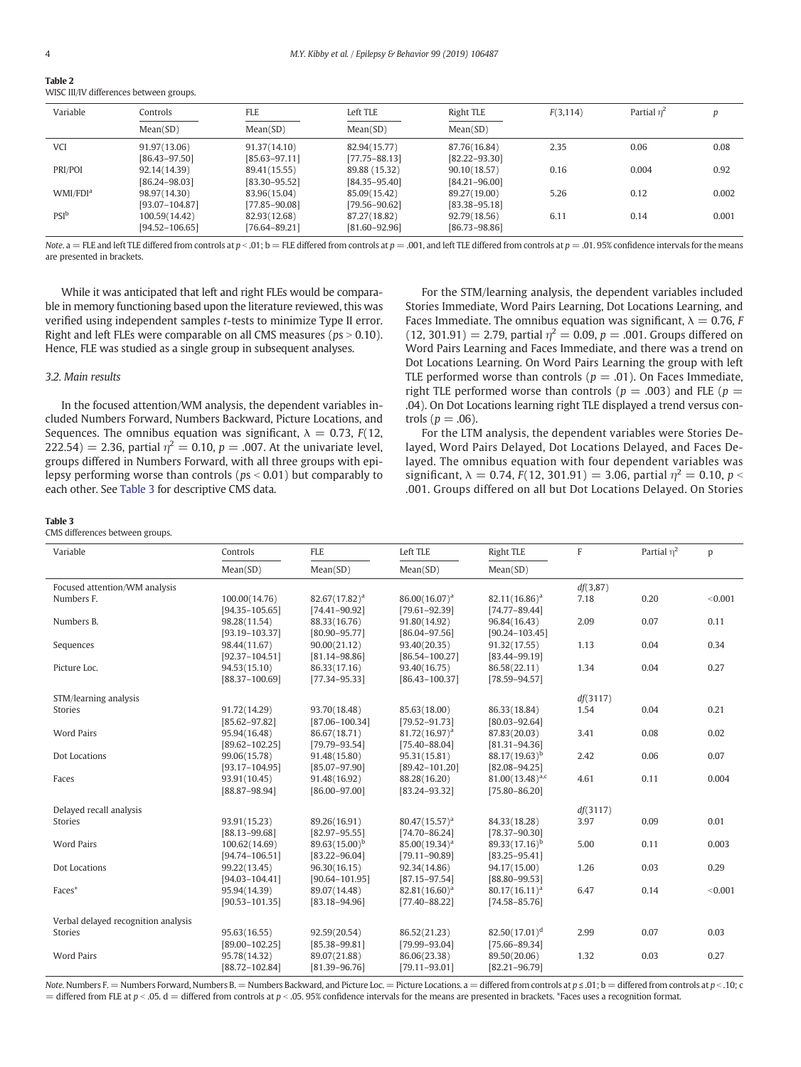<span id="page-3-0"></span>

Table 2

|  | WISC III/IV differences between groups. |  |
|--|-----------------------------------------|--|

| Variable             | Controls           | <b>FLE</b>        | Left TLE          | Right TLE         | F(3, 114) | Partial $\eta^2$ |       |
|----------------------|--------------------|-------------------|-------------------|-------------------|-----------|------------------|-------|
|                      | Mean(SD)           | Mean(SD)          | Mean(SD)          | Mean(SD)          |           |                  |       |
| <b>VCI</b>           | 91.97(13.06)       | 91.37(14.10)      | 82.94(15.77)      | 87.76(16.84)      | 2.35      | 0.06             | 0.08  |
|                      | $[86.43 - 97.50]$  | $[85.63 - 97.11]$ | $[77.75 - 88.13]$ | $[82.22 - 93.30]$ |           |                  |       |
| PRI/POI              | 92.14(14.39)       | 89.41(15.55)      | 89.88 (15.32)     | 90.10(18.57)      | 0.16      | 0.004            | 0.92  |
|                      | [86.24-98.03]      | [83.30-95.52]     | $[84.35 - 95.40]$ | $[84.21 - 96.00]$ |           |                  |       |
| WMI/FDI <sup>a</sup> | 98.97(14.30)       | 83.96(15.04)      | 85.09(15.42)      | 89.27(19.00)      | 5.26      | 0.12             | 0.002 |
|                      | $[93.07 - 104.87]$ | $[77.85 - 90.08]$ | [79.56–90.62]     | $[83.38 - 95.18]$ |           |                  |       |
| $PSI^b$              | 100.59(14.42)      | 82.93(12.68)      | 87.27(18.82)      | 92.79(18.56)      | 6.11      | 0.14             | 0.001 |
|                      | $[94.52 - 106.65]$ | [76.64–89.21]     | $[81.60 - 92.96]$ | $[86.73 - 98.86]$ |           |                  |       |

Note. a = FLE and left TLE differed from controls at  $p < 0.01$ ; b = FLE differed from controls at  $p = .001$ , and left TLE differed from controls at  $p = .01.95\%$  confidence intervals for the means are presented in brackets.

While it was anticipated that left and right FLEs would be comparable in memory functioning based upon the literature reviewed, this was verified using independent samples t-tests to minimize Type II error. Right and left FLEs were comparable on all CMS measures ( $ps > 0.10$ ). Hence, FLE was studied as a single group in subsequent analyses.

#### 3.2. Main results

In the focused attention/WM analysis, the dependent variables included Numbers Forward, Numbers Backward, Picture Locations, and Sequences. The omnibus equation was significant,  $\lambda = 0.73$ ,  $F(12)$ , 222.54) = 2.36, partial  $\eta^2 = 0.10$ ,  $p = .007$ . At the univariate level, groups differed in Numbers Forward, with all three groups with epilepsy performing worse than controls ( $ps < 0.01$ ) but comparably to each other. See Table 3 for descriptive CMS data.

For the STM/learning analysis, the dependent variables included Stories Immediate, Word Pairs Learning, Dot Locations Learning, and Faces Immediate. The omnibus equation was significant,  $\lambda = 0.76$ , F  $(12, 301.91) = 2.79$ , partial  $\eta^2 = 0.09$ ,  $p = .001$ . Groups differed on Word Pairs Learning and Faces Immediate, and there was a trend on Dot Locations Learning. On Word Pairs Learning the group with left TLE performed worse than controls ( $p = .01$ ). On Faces Immediate, right TLE performed worse than controls ( $p = .003$ ) and FLE ( $p =$ .04). On Dot Locations learning right TLE displayed a trend versus controls ( $p = .06$ ).

For the LTM analysis, the dependent variables were Stories Delayed, Word Pairs Delayed, Dot Locations Delayed, and Faces Delayed. The omnibus equation with four dependent variables was significant,  $\lambda = 0.74$ ,  $F(12, 301.91) = 3.06$ , partial  $\eta^2 = 0.10$ ,  $p <$ .001. Groups differed on all but Dot Locations Delayed. On Stories

#### Table 3

CMS differences between groups.

| Variable                            | Controls           | <b>FLE</b>         | Left TLE           | <b>Right TLE</b>     | F        | Partial $\eta^2$ | p       |
|-------------------------------------|--------------------|--------------------|--------------------|----------------------|----------|------------------|---------|
|                                     | Mean(SD)           | Mean(SD)           | Mean(SD)           | Mean(SD)             |          |                  |         |
| Focused attention/WM analysis       |                    |                    |                    |                      | df(3,87) |                  |         |
| Numbers F.                          | 100.00(14.76)      | $82.67(17.82)^a$   | $86.00(16.07)^a$   | $82.11(16.86)^a$     | 7.18     | 0.20             | < 0.001 |
|                                     | $[94.35 - 105.65]$ | $[74.41 - 90.92]$  | $[79.61 - 92.39]$  | $[74.77 - 89.44]$    |          |                  |         |
| Numbers B.                          | 98.28(11.54)       | 88.33(16.76)       | 91.80(14.92)       | 96.84(16.43)         | 2.09     | 0.07             | 0.11    |
|                                     | $[93.19 - 103.37]$ | $[80.90 - 95.77]$  | $[86.04 - 97.56]$  | $[90.24 - 103.45]$   |          |                  |         |
| Sequences                           | 98.44(11.67)       | 90.00(21.12)       | 93.40(20.35)       | 91.32(17.55)         | 1.13     | 0.04             | 0.34    |
|                                     | $[92.37 - 104.51]$ | $[81.14 - 98.86]$  | $[86.54 - 100.27]$ | $[83.44 - 99.19]$    |          |                  |         |
| Picture Loc.                        | 94.53(15.10)       | 86.33(17.16)       | 93.40(16.75)       | 86.58(22.11)         | 1.34     | 0.04             | 0.27    |
|                                     | $[88.37 - 100.69]$ | $[77.34 - 95.33]$  | $[86.43 - 100.37]$ | $[78.59 - 94.57]$    |          |                  |         |
| STM/learning analysis               |                    |                    |                    |                      | df(3117) |                  |         |
| <b>Stories</b>                      | 91.72(14.29)       | 93.70(18.48)       | 85.63(18.00)       | 86.33(18.84)         | 1.54     | 0.04             | 0.21    |
|                                     | $[85.62 - 97.82]$  | $[87.06 - 100.34]$ | $[79.52 - 91.73]$  | $[80.03 - 92.64]$    |          |                  |         |
| <b>Word Pairs</b>                   | 95.94(16.48)       | 86.67(18.71)       | $81.72(16.97)^{a}$ | 87.83(20.03)         | 3.41     | 0.08             | 0.02    |
|                                     | $[89.62 - 102.25]$ | $[79.79 - 93.54]$  | $[75.40 - 88.04]$  | $[81.31 - 94.36]$    |          |                  |         |
| Dot Locations                       | 99.06(15.78)       | 91.48(15.80)       | 95.31(15.81)       | $88.17(19.63)^b$     | 2.42     | 0.06             | 0.07    |
|                                     | $[93.17 - 104.95]$ | $[85.07 - 97.90]$  | $[89.42 - 101.20]$ | $[82.08 - 94.25]$    |          |                  |         |
| Faces                               | 93.91(10.45)       | 91.48(16.92)       | 88.28(16.20)       | $81,00(13,48)^{a,c}$ | 4.61     | 0.11             | 0.004   |
|                                     | $[88.87 - 98.94]$  | $[86.00 - 97.00]$  | $[83.24 - 93.32]$  | $[75.80 - 86.20]$    |          |                  |         |
| Delayed recall analysis             |                    |                    |                    |                      | df(3117) |                  |         |
| Stories                             | 93.91(15.23)       | 89.26(16.91)       | $80.47(15.57)^a$   | 84.33(18.28)         | 3.97     | 0.09             | 0.01    |
|                                     | $[88.13 - 99.68]$  | $[82.97 - 95.55]$  | $[74.70 - 86.24]$  | $[78.37 - 90.30]$    |          |                  |         |
| <b>Word Pairs</b>                   | 100.62(14.69)      | $89.63(15.00)^b$   | $85.00(19.34)^a$   | $89.33(17.16)^b$     | 5.00     | 0.11             | 0.003   |
|                                     | $[94.74 - 106.51]$ | $[83.22 - 96.04]$  | $[79.11 - 90.89]$  | $[83.25 - 95.41]$    |          |                  |         |
| Dot Locations                       | 99.22(13.45)       | 96.30(16.15)       | 92.34(14.86)       | 94.17(15.00)         | 1.26     | 0.03             | 0.29    |
|                                     | $[94.03 - 104.41]$ | $[90.64 - 101.95]$ | $[87.15 - 97.54]$  | $[88.80 - 99.53]$    |          |                  |         |
| Faces*                              | 95.94(14.39)       | 89.07(14.48)       | $82.81(16.60)^a$   | $80.17(16.11)^a$     | 6.47     | 0.14             | < 0.001 |
|                                     | $[90.53 - 101.35]$ | $[83.18 - 94.96]$  | $[77.40 - 88.22]$  | $[74.58 - 85.76]$    |          |                  |         |
| Verbal delayed recognition analysis |                    |                    |                    |                      |          |                  |         |
| Stories                             | 95.63(16.55)       | 92.59(20.54)       | 86.52(21.23)       | $82.50(17.01)^d$     | 2.99     | 0.07             | 0.03    |
|                                     | $[89.00 - 102.25]$ | $[85.38 - 99.81]$  | $[79.99 - 93.04]$  | $[75.66 - 89.34]$    |          |                  |         |
| <b>Word Pairs</b>                   | 95.78(14.32)       | 89.07(21.88)       | 86.06(23.38)       | 89.50(20.06)         | 1.32     | 0.03             | 0.27    |
|                                     | $[88.72 - 102.84]$ | $[81.39 - 96.76]$  | $[79.11 - 93.01]$  | $[82.21 - 96.79]$    |          |                  |         |

Note. Numbers F. = Numbers Forward, Numbers B. = Numbers Backward, and Picture Loc. = Picture Locations. a = differed from controls at p ≤ .01; b = differed from controls at p < .10; c  $=$  differed from FLE at  $p < 0.05$ . d  $=$  differed from controls at  $p < 0.05$ . 95% confidence intervals for the means are presented in brackets. \*Faces uses a recognition format.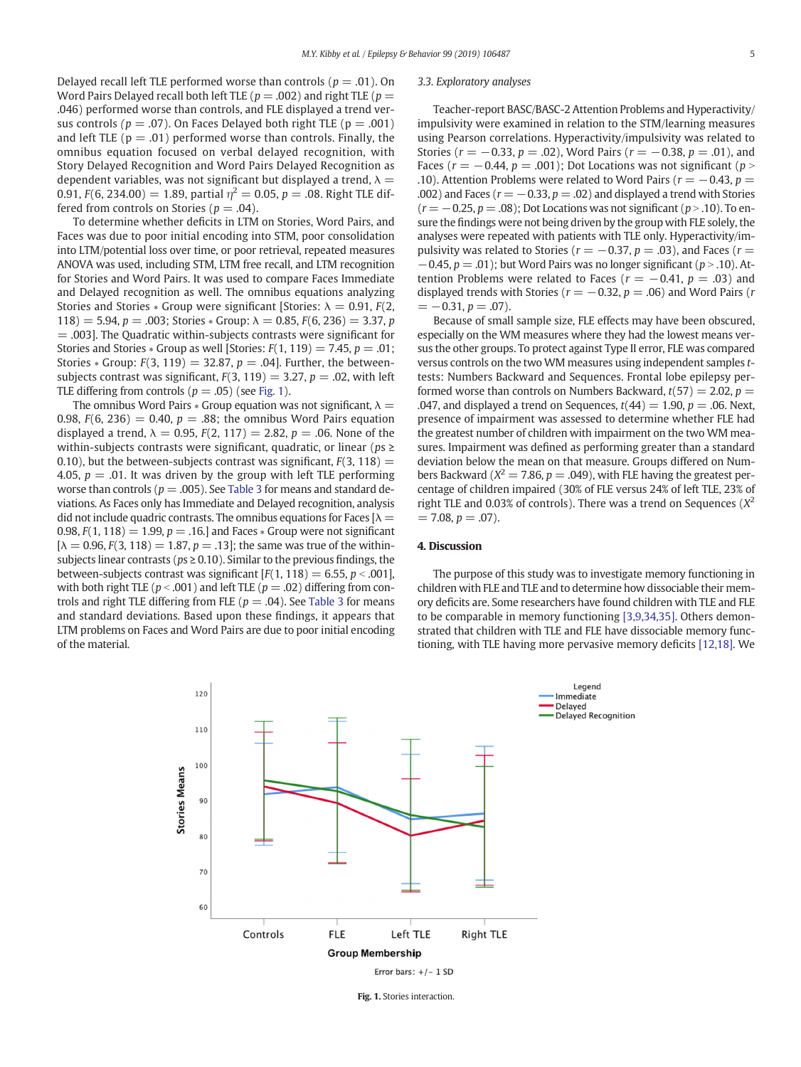<span id="page-4-0"></span>Delayed recall left TLE performed worse than controls ( $p = .01$ ). On Word Pairs Delayed recall both left TLE ( $p = .002$ ) and right TLE ( $p =$ .046) performed worse than controls, and FLE displayed a trend versus controls ( $p = .07$ ). On Faces Delayed both right TLE ( $p = .001$ ) and left TLE ( $p = .01$ ) performed worse than controls. Finally, the omnibus equation focused on verbal delayed recognition, with Story Delayed Recognition and Word Pairs Delayed Recognition as dependent variables, was not significant but displayed a trend,  $\lambda =$ 0.91,  $F(6, 234.00) = 1.89$ , partial  $\eta^2 = 0.05$ ,  $p = .08$ . Right TLE differed from controls on Stories ( $p = .04$ ).

To determine whether deficits in LTM on Stories, Word Pairs, and Faces was due to poor initial encoding into STM, poor consolidation into LTM/potential loss over time, or poor retrieval, repeated measures ANOVA was used, including STM, LTM free recall, and LTM recognition for Stories and Word Pairs. It was used to compare Faces Immediate and Delayed recognition as well. The omnibus equations analyzing Stories and Stories  $*$  Group were significant [Stories:  $\lambda = 0.91$ ,  $F(2)$ , 118) = 5.94, p = .003; Stories \* Group:  $\lambda = 0.85$ ,  $F(6, 236) = 3.37$ , p  $=$  .003]. The Quadratic within-subjects contrasts were significant for Stories and Stories  $*$  Group as well [Stories:  $F(1, 119) = 7.45$ ,  $p = .01$ ; Stories  $*$  Group:  $F(3, 119) = 32.87$ ,  $p = .04$ ]. Further, the betweensubjects contrast was significant,  $F(3, 119) = 3.27$ ,  $p = .02$ , with left TLE differing from controls ( $p = .05$ ) (see Fig. 1).

The omnibus Word Pairs  $*$  Group equation was not significant,  $\lambda =$ 0.98,  $F(6, 236) = 0.40$ ,  $p = .88$ ; the omnibus Word Pairs equation displayed a trend,  $\lambda = 0.95$ ,  $F(2, 117) = 2.82$ ,  $p = .06$ . None of the within-subjects contrasts were significant, quadratic, or linear ( $ps \ge$ 0.10), but the between-subjects contrast was significant,  $F(3, 118) =$ 4.05,  $p = 0.01$ . It was driven by the group with left TLE performing worse than controls ( $p = .005$ ). See [Table 3](#page-3-0) for means and standard deviations. As Faces only has Immediate and Delayed recognition, analysis did not include quadric contrasts. The omnibus equations for Faces  $[\lambda =$ 0.98,  $F(1, 118) = 1.99$ ,  $p = .16$ . and Faces  $*$  Group were not significant  $[\lambda = 0.96, F(3, 118) = 1.87, p = .13]$ ; the same was true of the withinsubjects linear contrasts ( $ps \ge 0.10$ ). Similar to the previous findings, the between-subjects contrast was significant  $[F(1, 118) = 6.55, p < .001]$ , with both right TLE ( $p < .001$ ) and left TLE ( $p = .02$ ) differing from controls and right TLE differing from FLE ( $p = .04$ ). See [Table 3](#page-3-0) for means and standard deviations. Based upon these findings, it appears that LTM problems on Faces and Word Pairs are due to poor initial encoding of the material.

#### 3.3. Exploratory analyses

Teacher-report BASC/BASC-2 Attention Problems and Hyperactivity/ impulsivity were examined in relation to the STM/learning measures using Pearson correlations. Hyperactivity/impulsivity was related to Stories ( $r = -0.33$ ,  $p = .02$ ), Word Pairs ( $r = -0.38$ ,  $p = .01$ ), and Faces ( $r = -0.44$ ,  $p = .001$ ); Dot Locations was not significant ( $p >$ .10). Attention Problems were related to Word Pairs ( $r = -0.43$ ,  $p =$ .002) and Faces ( $r = -0.33$ ,  $p = .02$ ) and displayed a trend with Stories  $(r = -0.25, p = .08)$ ; Dot Locations was not significant  $(p > .10)$ . To ensure the findings were not being driven by the group with FLE solely, the analyses were repeated with patients with TLE only. Hyperactivity/impulsivity was related to Stories ( $r = -0.37$ ,  $p = .03$ ), and Faces ( $r =$  $-0.45$ ,  $p = .01$ ); but Word Pairs was no longer significant ( $p > .10$ ). Attention Problems were related to Faces ( $r = -0.41$ ,  $p = .03$ ) and displayed trends with Stories ( $r = -0.32$ ,  $p = .06$ ) and Word Pairs (r  $= -0.31, p = .07$ .

Because of small sample size, FLE effects may have been obscured, especially on the WM measures where they had the lowest means versus the other groups. To protect against Type II error, FLE was compared versus controls on the two WM measures using independent samples ttests: Numbers Backward and Sequences. Frontal lobe epilepsy performed worse than controls on Numbers Backward,  $t(57) = 2.02$ ,  $p =$ .047, and displayed a trend on Sequences,  $t(44) = 1.90$ ,  $p = .06$ . Next, presence of impairment was assessed to determine whether FLE had the greatest number of children with impairment on the two WM measures. Impairment was defined as performing greater than a standard deviation below the mean on that measure. Groups differed on Numbers Backward ( $X^2 = 7.86$ ,  $p = .049$ ), with FLE having the greatest percentage of children impaired (30% of FLE versus 24% of left TLE, 23% of right TLE and 0.03% of controls). There was a trend on Sequences ( $X^2$  $= 7.08, p = .07$ .

#### 4. Discussion

The purpose of this study was to investigate memory functioning in children with FLE and TLE and to determine how dissociable their memory deficits are. Some researchers have found children with TLE and FLE to be comparable in memory functioning [\[3,9,34,35\]](#page-6-0). Others demonstrated that children with TLE and FLE have dissociable memory functioning, with TLE having more pervasive memory deficits [\[12,18\]](#page-6-0). We



Fig. 1. Stories interaction.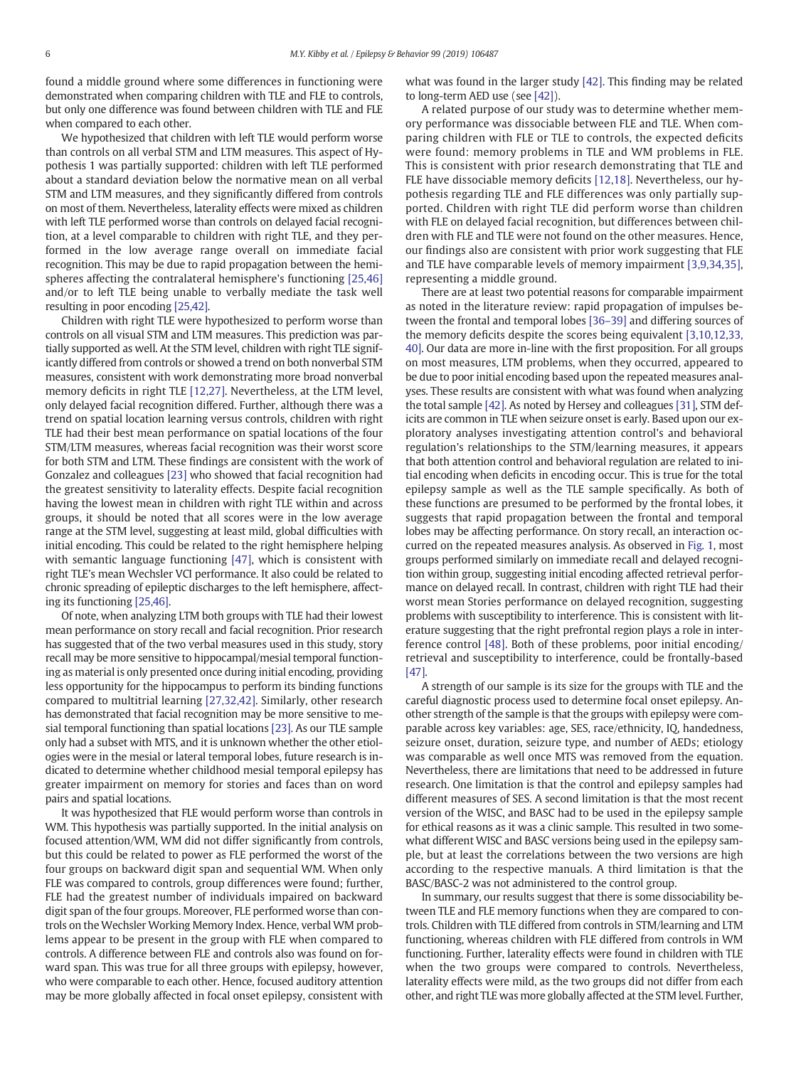found a middle ground where some differences in functioning were demonstrated when comparing children with TLE and FLE to controls, but only one difference was found between children with TLE and FLE when compared to each other.

We hypothesized that children with left TLE would perform worse than controls on all verbal STM and LTM measures. This aspect of Hypothesis 1 was partially supported: children with left TLE performed about a standard deviation below the normative mean on all verbal STM and LTM measures, and they significantly differed from controls on most of them. Nevertheless, laterality effects were mixed as children with left TLE performed worse than controls on delayed facial recognition, at a level comparable to children with right TLE, and they performed in the low average range overall on immediate facial recognition. This may be due to rapid propagation between the hemispheres affecting the contralateral hemisphere's functioning [\[25,46\]](#page-6-0) and/or to left TLE being unable to verbally mediate the task well resulting in poor encoding [\[25,42\]](#page-6-0).

Children with right TLE were hypothesized to perform worse than controls on all visual STM and LTM measures. This prediction was partially supported as well. At the STM level, children with right TLE significantly differed from controls or showed a trend on both nonverbal STM measures, consistent with work demonstrating more broad nonverbal memory deficits in right TLE [\[12,27\]](#page-6-0). Nevertheless, at the LTM level, only delayed facial recognition differed. Further, although there was a trend on spatial location learning versus controls, children with right TLE had their best mean performance on spatial locations of the four STM/LTM measures, whereas facial recognition was their worst score for both STM and LTM. These findings are consistent with the work of Gonzalez and colleagues [\[23\]](#page-6-0) who showed that facial recognition had the greatest sensitivity to laterality effects. Despite facial recognition having the lowest mean in children with right TLE within and across groups, it should be noted that all scores were in the low average range at the STM level, suggesting at least mild, global difficulties with initial encoding. This could be related to the right hemisphere helping with semantic language functioning [\[47\]](#page-6-0), which is consistent with right TLE's mean Wechsler VCI performance. It also could be related to chronic spreading of epileptic discharges to the left hemisphere, affecting its functioning [\[25,46\]](#page-6-0).

Of note, when analyzing LTM both groups with TLE had their lowest mean performance on story recall and facial recognition. Prior research has suggested that of the two verbal measures used in this study, story recall may be more sensitive to hippocampal/mesial temporal functioning as material is only presented once during initial encoding, providing less opportunity for the hippocampus to perform its binding functions compared to multitrial learning [\[27,32,42\]](#page-6-0). Similarly, other research has demonstrated that facial recognition may be more sensitive to mesial temporal functioning than spatial locations [\[23\]](#page-6-0). As our TLE sample only had a subset with MTS, and it is unknown whether the other etiologies were in the mesial or lateral temporal lobes, future research is indicated to determine whether childhood mesial temporal epilepsy has greater impairment on memory for stories and faces than on word pairs and spatial locations.

It was hypothesized that FLE would perform worse than controls in WM. This hypothesis was partially supported. In the initial analysis on focused attention/WM, WM did not differ significantly from controls, but this could be related to power as FLE performed the worst of the four groups on backward digit span and sequential WM. When only FLE was compared to controls, group differences were found; further, FLE had the greatest number of individuals impaired on backward digit span of the four groups. Moreover, FLE performed worse than controls on the Wechsler Working Memory Index. Hence, verbal WM problems appear to be present in the group with FLE when compared to controls. A difference between FLE and controls also was found on forward span. This was true for all three groups with epilepsy, however, who were comparable to each other. Hence, focused auditory attention may be more globally affected in focal onset epilepsy, consistent with what was found in the larger study [\[42\]](#page-6-0). This finding may be related to long-term AED use (see [\[42\]\)](#page-6-0).

A related purpose of our study was to determine whether memory performance was dissociable between FLE and TLE. When comparing children with FLE or TLE to controls, the expected deficits were found: memory problems in TLE and WM problems in FLE. This is consistent with prior research demonstrating that TLE and FLE have dissociable memory deficits [\[12,18\].](#page-6-0) Nevertheless, our hypothesis regarding TLE and FLE differences was only partially supported. Children with right TLE did perform worse than children with FLE on delayed facial recognition, but differences between children with FLE and TLE were not found on the other measures. Hence, our findings also are consistent with prior work suggesting that FLE and TLE have comparable levels of memory impairment [\[3,9,34,35\],](#page-6-0) representing a middle ground.

There are at least two potential reasons for comparable impairment as noted in the literature review: rapid propagation of impulses between the frontal and temporal lobes [\[36](#page-6-0)–39] and differing sources of the memory deficits despite the scores being equivalent [\[3,10,12,33,](#page-6-0) [40\]](#page-6-0). Our data are more in-line with the first proposition. For all groups on most measures, LTM problems, when they occurred, appeared to be due to poor initial encoding based upon the repeated measures analyses. These results are consistent with what was found when analyzing the total sample [\[42\]](#page-6-0). As noted by Hersey and colleagues [\[31\]](#page-6-0), STM deficits are common in TLE when seizure onset is early. Based upon our exploratory analyses investigating attention control's and behavioral regulation's relationships to the STM/learning measures, it appears that both attention control and behavioral regulation are related to initial encoding when deficits in encoding occur. This is true for the total epilepsy sample as well as the TLE sample specifically. As both of these functions are presumed to be performed by the frontal lobes, it suggests that rapid propagation between the frontal and temporal lobes may be affecting performance. On story recall, an interaction occurred on the repeated measures analysis. As observed in [Fig. 1,](#page-4-0) most groups performed similarly on immediate recall and delayed recognition within group, suggesting initial encoding affected retrieval performance on delayed recall. In contrast, children with right TLE had their worst mean Stories performance on delayed recognition, suggesting problems with susceptibility to interference. This is consistent with literature suggesting that the right prefrontal region plays a role in interference control [\[48\].](#page-6-0) Both of these problems, poor initial encoding/ retrieval and susceptibility to interference, could be frontally-based [\[47\]](#page-6-0).

A strength of our sample is its size for the groups with TLE and the careful diagnostic process used to determine focal onset epilepsy. Another strength of the sample is that the groups with epilepsy were comparable across key variables: age, SES, race/ethnicity, IQ, handedness, seizure onset, duration, seizure type, and number of AEDs; etiology was comparable as well once MTS was removed from the equation. Nevertheless, there are limitations that need to be addressed in future research. One limitation is that the control and epilepsy samples had different measures of SES. A second limitation is that the most recent version of the WISC, and BASC had to be used in the epilepsy sample for ethical reasons as it was a clinic sample. This resulted in two somewhat different WISC and BASC versions being used in the epilepsy sample, but at least the correlations between the two versions are high according to the respective manuals. A third limitation is that the BASC/BASC-2 was not administered to the control group.

In summary, our results suggest that there is some dissociability between TLE and FLE memory functions when they are compared to controls. Children with TLE differed from controls in STM/learning and LTM functioning, whereas children with FLE differed from controls in WM functioning. Further, laterality effects were found in children with TLE when the two groups were compared to controls. Nevertheless, laterality effects were mild, as the two groups did not differ from each other, and right TLE was more globally affected at the STM level. Further,